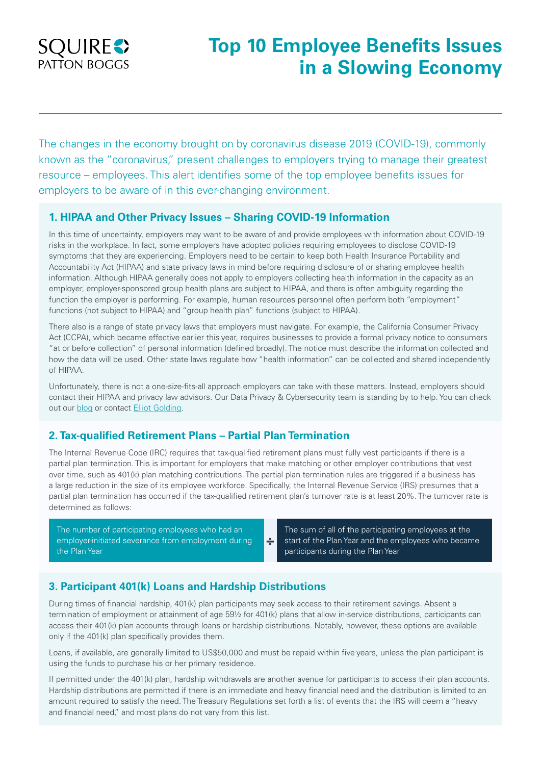

# **Top 10 Employee Benefits Issues in a Slowing Economy**

The changes in the economy brought on by coronavirus disease 2019 (COVID-19), commonly known as the "coronavirus," present challenges to employers trying to manage their greatest resource – employees. This alert identifies some of the top employee benefits issues for employers to be aware of in this ever-changing environment.

#### **1. HIPAA and Other Privacy Issues – Sharing COVID-19 Information**

In this time of uncertainty, employers may want to be aware of and provide employees with information about COVID-19 risks in the workplace. In fact, some employers have adopted policies requiring employees to disclose COVID-19 symptoms that they are experiencing. Employers need to be certain to keep both Health Insurance Portability and Accountability Act (HIPAA) and state privacy laws in mind before requiring disclosure of or sharing employee health information. Although HIPAA generally does not apply to employers collecting health information in the capacity as an employer, employer-sponsored group health plans are subject to HIPAA, and there is often ambiguity regarding the function the employer is performing. For example, human resources personnel often perform both "employment" functions (not subject to HIPAA) and "group health plan" functions (subject to HIPAA).

There also is a range of state privacy laws that employers must navigate. For example, the California Consumer Privacy Act (CCPA), which became effective earlier this year, requires businesses to provide a formal privacy notice to consumers "at or before collection" of personal information (defined broadly). The notice must describe the information collected and how the data will be used. Other state laws regulate how "health information" can be collected and shared independently of HIPAA.

Unfortunately, there is not a one-size-fits-all approach employers can take with these matters. Instead, employers should contact their HIPAA and privacy law advisors. Our Data Privacy & Cybersecurity team is standing by to help. You can check out our **blog** or contact **Elliot Golding**.

## **2. Tax-qualified Retirement Plans – Partial Plan Termination**

The Internal Revenue Code (IRC) requires that tax-qualified retirement plans must fully vest participants if there is a partial plan termination. This is important for employers that make matching or other employer contributions that vest over time, such as 401(k) plan matching contributions. The partial plan termination rules are triggered if a business has a large reduction in the size of its employee workforce. Specifically, the Internal Revenue Service (IRS) presumes that a partial plan termination has occurred if the tax-qualified retirement plan's turnover rate is at least 20%. The turnover rate is determined as follows:

**÷**

The number of participating employees who had an employer-initiated severance from employment during the Plan Year

The sum of all of the participating employees at the start of the Plan Year and the employees who became participants during the Plan Year

## **3. Participant 401(k) Loans and Hardship Distributions**

During times of financial hardship, 401(k) plan participants may seek access to their retirement savings. Absent a termination of employment or attainment of age 59½ for 401(k) plans that allow in-service distributions, participants can access their 401(k) plan accounts through loans or hardship distributions. Notably, however, these options are available only if the 401(k) plan specifically provides them.

Loans, if available, are generally limited to US\$50,000 and must be repaid within five years, unless the plan participant is using the funds to purchase his or her primary residence.

If permitted under the 401(k) plan, hardship withdrawals are another avenue for participants to access their plan accounts. Hardship distributions are permitted if there is an immediate and heavy financial need and the distribution is limited to an amount required to satisfy the need. The Treasury Regulations set forth a list of events that the IRS will deem a "heavy and financial need," and most plans do not vary from this list.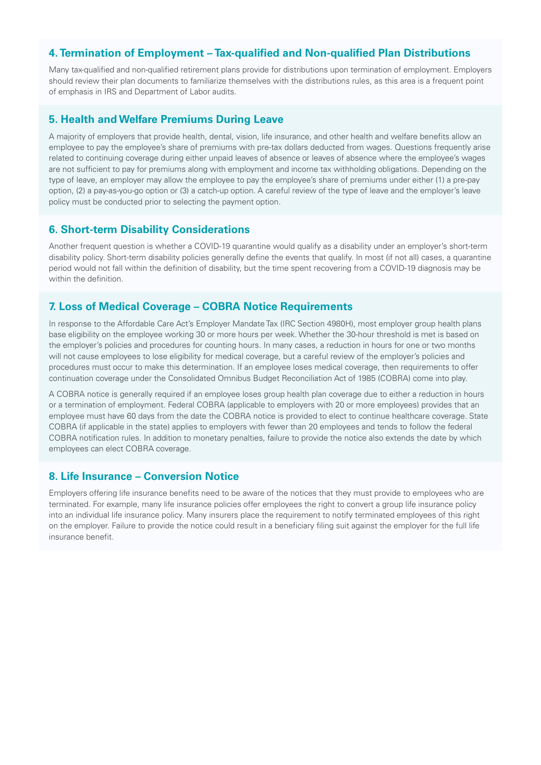#### **4. Termination of Employment – Tax-qualified and Non-qualified Plan Distributions**

Many tax-qualified and non-qualified retirement plans provide for distributions upon termination of employment. Employers should review their plan documents to familiarize themselves with the distributions rules, as this area is a frequent point of emphasis in IRS and Department of Labor audits.

#### **5. Health and Welfare Premiums During Leave**

A majority of employers that provide health, dental, vision, life insurance, and other health and welfare benefits allow an employee to pay the employee's share of premiums with pre-tax dollars deducted from wages. Questions frequently arise related to continuing coverage during either unpaid leaves of absence or leaves of absence where the employee's wages are not sufficient to pay for premiums along with employment and income tax withholding obligations. Depending on the type of leave, an employer may allow the employee to pay the employee's share of premiums under either (1) a pre-pay option, (2) a pay-as-you-go option or (3) a catch-up option. A careful review of the type of leave and the employer's leave policy must be conducted prior to selecting the payment option.

#### **6. Short-term Disability Considerations**

Another frequent question is whether a COVID-19 quarantine would qualify as a disability under an employer's short-term disability policy. Short-term disability policies generally define the events that qualify. In most (if not all) cases, a quarantine period would not fall within the definition of disability, but the time spent recovering from a COVID-19 diagnosis may be within the definition.

#### **7. Loss of Medical Coverage – COBRA Notice Requirements**

In response to the Affordable Care Act's Employer Mandate Tax (IRC Section 4980H), most employer group health plans base eligibility on the employee working 30 or more hours per week. Whether the 30-hour threshold is met is based on the employer's policies and procedures for counting hours. In many cases, a reduction in hours for one or two months will not cause employees to lose eligibility for medical coverage, but a careful review of the employer's policies and procedures must occur to make this determination. If an employee loses medical coverage, then requirements to offer continuation coverage under the Consolidated Omnibus Budget Reconciliation Act of 1985 (COBRA) come into play.

A COBRA notice is generally required if an employee loses group health plan coverage due to either a reduction in hours or a termination of employment. Federal COBRA (applicable to employers with 20 or more employees) provides that an employee must have 60 days from the date the COBRA notice is provided to elect to continue healthcare coverage. State COBRA (if applicable in the state) applies to employers with fewer than 20 employees and tends to follow the federal COBRA notification rules. In addition to monetary penalties, failure to provide the notice also extends the date by which employees can elect COBRA coverage.

## **8. Life Insurance – Conversion Notice**

Employers offering life insurance benefits need to be aware of the notices that they must provide to employees who are terminated. For example, many life insurance policies offer employees the right to convert a group life insurance policy into an individual life insurance policy. Many insurers place the requirement to notify terminated employees of this right on the employer. Failure to provide the notice could result in a beneficiary filing suit against the employer for the full life insurance benefit.